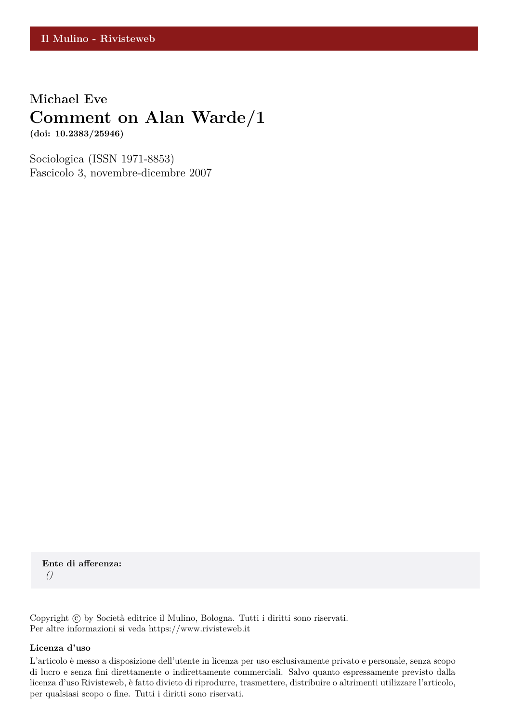## **Michael Eve Comment on Alan Warde/1 (doi: 10.2383/25946)**

Sociologica (ISSN 1971-8853) Fascicolo 3, novembre-dicembre 2007

**Ente di afferenza:** *()*

Copyright © by Società editrice il Mulino, Bologna. Tutti i diritti sono riservati. Per altre informazioni si veda https://www.rivisteweb.it

#### **Licenza d'uso**

L'articolo è messo a disposizione dell'utente in licenza per uso esclusivamente privato e personale, senza scopo di lucro e senza fini direttamente o indirettamente commerciali. Salvo quanto espressamente previsto dalla licenza d'uso Rivisteweb, è fatto divieto di riprodurre, trasmettere, distribuire o altrimenti utilizzare l'articolo, per qualsiasi scopo o fine. Tutti i diritti sono riservati.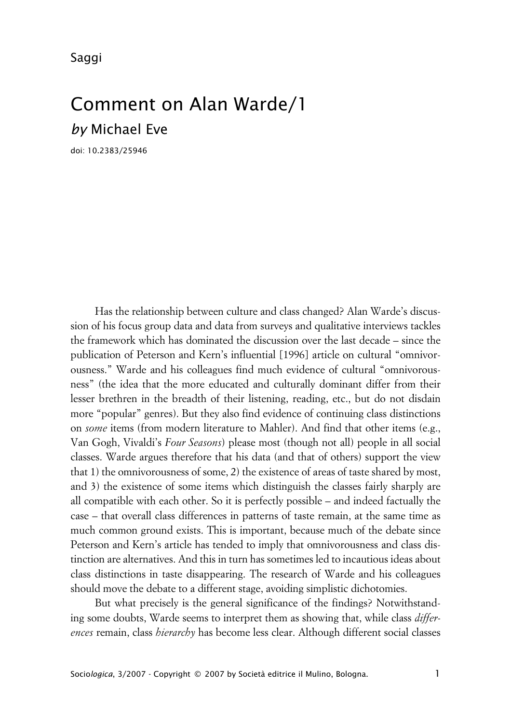Saggi

# Comment on Alan Warde/1 *by* Michael Eve

doi: 10.2383/25946

Has the relationship between culture and class changed? Alan Warde's discussion of his focus group data and data from surveys and qualitative interviews tackles the framework which has dominated the discussion over the last decade – since the publication of Peterson and Kern's influential [1996] article on cultural "omnivorousness." Warde and his colleagues find much evidence of cultural "omnivorousness" (the idea that the more educated and culturally dominant differ from their lesser brethren in the breadth of their listening, reading, etc., but do not disdain more "popular" genres). But they also find evidence of continuing class distinctions on *some* items (from modern literature to Mahler). And find that other items (e.g., Van Gogh, Vivaldi's *Four Seasons*) please most (though not all) people in all social classes. Warde argues therefore that his data (and that of others) support the view that 1) the omnivorousness of some, 2) the existence of areas of taste shared by most, and 3) the existence of some items which distinguish the classes fairly sharply are all compatible with each other. So it is perfectly possible – and indeed factually the case – that overall class differences in patterns of taste remain, at the same time as much common ground exists. This is important, because much of the debate since Peterson and Kern's article has tended to imply that omnivorousness and class distinction are alternatives. And this in turn has sometimes led to incautious ideas about class distinctions in taste disappearing. The research of Warde and his colleagues should move the debate to a different stage, avoiding simplistic dichotomies.

But what precisely is the general significance of the findings? Notwithstanding some doubts, Warde seems to interpret them as showing that, while class *differences* remain, class *hierarchy* has become less clear. Although different social classes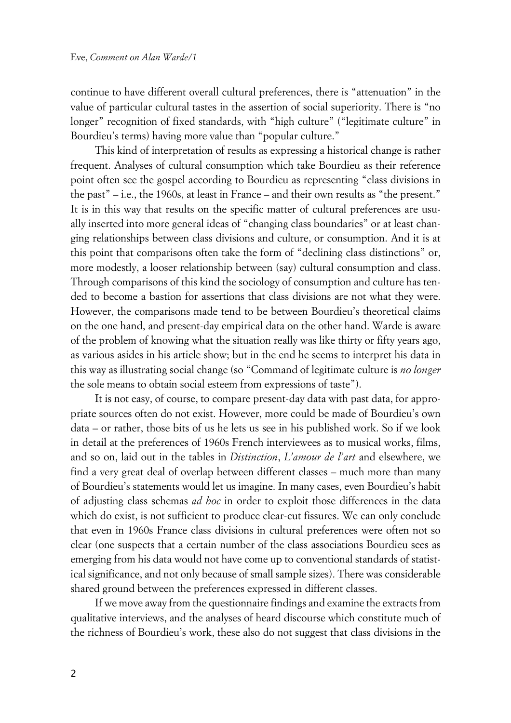continue to have different overall cultural preferences, there is "attenuation" in the value of particular cultural tastes in the assertion of social superiority. There is "no longer" recognition of fixed standards, with "high culture" ("legitimate culture" in Bourdieu's terms) having more value than "popular culture."

This kind of interpretation of results as expressing a historical change is rather frequent. Analyses of cultural consumption which take Bourdieu as their reference point often see the gospel according to Bourdieu as representing "class divisions in the past" – i.e., the 1960s, at least in France – and their own results as "the present." It is in this way that results on the specific matter of cultural preferences are usually inserted into more general ideas of "changing class boundaries" or at least changing relationships between class divisions and culture, or consumption. And it is at this point that comparisons often take the form of "declining class distinctions" or, more modestly, a looser relationship between (say) cultural consumption and class. Through comparisons of this kind the sociology of consumption and culture has tended to become a bastion for assertions that class divisions are not what they were. However, the comparisons made tend to be between Bourdieu's theoretical claims on the one hand, and present-day empirical data on the other hand. Warde is aware of the problem of knowing what the situation really was like thirty or fifty years ago, as various asides in his article show; but in the end he seems to interpret his data in this way as illustrating social change (so "Command of legitimate culture is *no longer* the sole means to obtain social esteem from expressions of taste").

It is not easy, of course, to compare present-day data with past data, for appropriate sources often do not exist. However, more could be made of Bourdieu's own data – or rather, those bits of us he lets us see in his published work. So if we look in detail at the preferences of 1960s French interviewees as to musical works, films, and so on, laid out in the tables in *Distinction*, *L'amour de l'art* and elsewhere, we find a very great deal of overlap between different classes – much more than many of Bourdieu's statements would let us imagine. In many cases, even Bourdieu's habit of adjusting class schemas *ad hoc* in order to exploit those differences in the data which do exist, is not sufficient to produce clear-cut fissures. We can only conclude that even in 1960s France class divisions in cultural preferences were often not so clear (one suspects that a certain number of the class associations Bourdieu sees as emerging from his data would not have come up to conventional standards of statistical significance, and not only because of small sample sizes). There was considerable shared ground between the preferences expressed in different classes.

If we move away from the questionnaire findings and examine the extracts from qualitative interviews, and the analyses of heard discourse which constitute much of the richness of Bourdieu's work, these also do not suggest that class divisions in the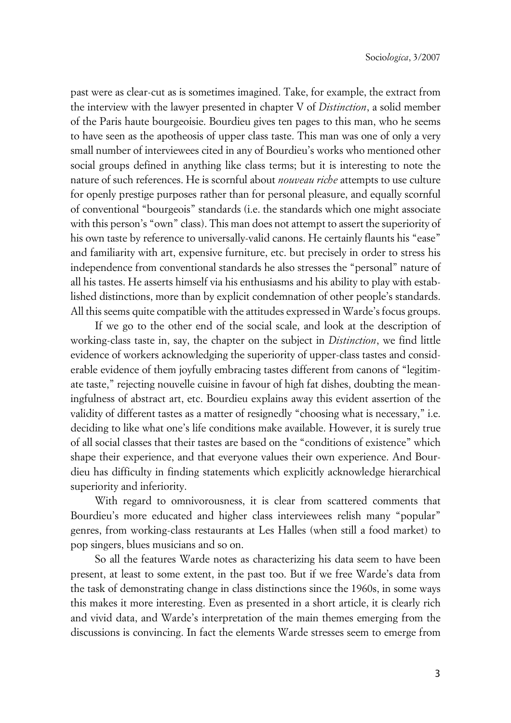past were as clear-cut as is sometimes imagined. Take, for example, the extract from the interview with the lawyer presented in chapter V of *Distinction*, a solid member of the Paris haute bourgeoisie. Bourdieu gives ten pages to this man, who he seems to have seen as the apotheosis of upper class taste. This man was one of only a very small number of interviewees cited in any of Bourdieu's works who mentioned other social groups defined in anything like class terms; but it is interesting to note the nature of such references. He is scornful about *nouveau riche* attempts to use culture for openly prestige purposes rather than for personal pleasure, and equally scornful of conventional "bourgeois" standards (i.e. the standards which one might associate with this person's "own" class). This man does not attempt to assert the superiority of his own taste by reference to universally-valid canons. He certainly flaunts his "ease" and familiarity with art, expensive furniture, etc. but precisely in order to stress his independence from conventional standards he also stresses the "personal" nature of all his tastes. He asserts himself via his enthusiasms and his ability to play with established distinctions, more than by explicit condemnation of other people's standards. All this seems quite compatible with the attitudes expressed in Warde's focus groups.

If we go to the other end of the social scale, and look at the description of working-class taste in, say, the chapter on the subject in *Distinction*, we find little evidence of workers acknowledging the superiority of upper-class tastes and considerable evidence of them joyfully embracing tastes different from canons of "legitimate taste," rejecting nouvelle cuisine in favour of high fat dishes, doubting the meaningfulness of abstract art, etc. Bourdieu explains away this evident assertion of the validity of different tastes as a matter of resignedly "choosing what is necessary," i.e. deciding to like what one's life conditions make available. However, it is surely true of all social classes that their tastes are based on the "conditions of existence" which shape their experience, and that everyone values their own experience. And Bourdieu has difficulty in finding statements which explicitly acknowledge hierarchical superiority and inferiority.

With regard to omnivorousness, it is clear from scattered comments that Bourdieu's more educated and higher class interviewees relish many "popular" genres, from working-class restaurants at Les Halles (when still a food market) to pop singers, blues musicians and so on.

So all the features Warde notes as characterizing his data seem to have been present, at least to some extent, in the past too. But if we free Warde's data from the task of demonstrating change in class distinctions since the 1960s, in some ways this makes it more interesting. Even as presented in a short article, it is clearly rich and vivid data, and Warde's interpretation of the main themes emerging from the discussions is convincing. In fact the elements Warde stresses seem to emerge from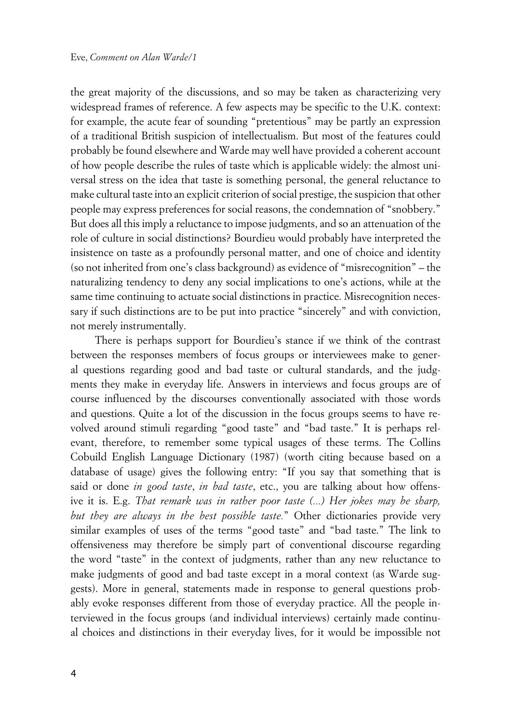the great majority of the discussions, and so may be taken as characterizing very widespread frames of reference. A few aspects may be specific to the U.K. context: for example, the acute fear of sounding "pretentious" may be partly an expression of a traditional British suspicion of intellectualism. But most of the features could probably be found elsewhere and Warde may well have provided a coherent account of how people describe the rules of taste which is applicable widely: the almost universal stress on the idea that taste is something personal, the general reluctance to make cultural taste into an explicit criterion of social prestige, the suspicion that other people may express preferences for social reasons, the condemnation of "snobbery." But does all this imply a reluctance to impose judgments, and so an attenuation of the role of culture in social distinctions? Bourdieu would probably have interpreted the insistence on taste as a profoundly personal matter, and one of choice and identity (so not inherited from one's class background) as evidence of "misrecognition" – the naturalizing tendency to deny any social implications to one's actions, while at the same time continuing to actuate social distinctions in practice. Misrecognition necessary if such distinctions are to be put into practice "sincerely" and with conviction, not merely instrumentally.

There is perhaps support for Bourdieu's stance if we think of the contrast between the responses members of focus groups or interviewees make to general questions regarding good and bad taste or cultural standards, and the judgments they make in everyday life. Answers in interviews and focus groups are of course influenced by the discourses conventionally associated with those words and questions. Quite a lot of the discussion in the focus groups seems to have revolved around stimuli regarding "good taste" and "bad taste." It is perhaps relevant, therefore, to remember some typical usages of these terms. The Collins Cobuild English Language Dictionary (1987) (worth citing because based on a database of usage) gives the following entry: "If you say that something that is said or done *in good taste*, *in bad taste*, etc., you are talking about how offensive it is. E.g. *That remark was in rather poor taste (...) Her jokes may be sharp, but they are always in the best possible taste.*" Other dictionaries provide very similar examples of uses of the terms "good taste" and "bad taste." The link to offensiveness may therefore be simply part of conventional discourse regarding the word "taste" in the context of judgments, rather than any new reluctance to make judgments of good and bad taste except in a moral context (as Warde suggests). More in general, statements made in response to general questions probably evoke responses different from those of everyday practice. All the people interviewed in the focus groups (and individual interviews) certainly made continual choices and distinctions in their everyday lives, for it would be impossible not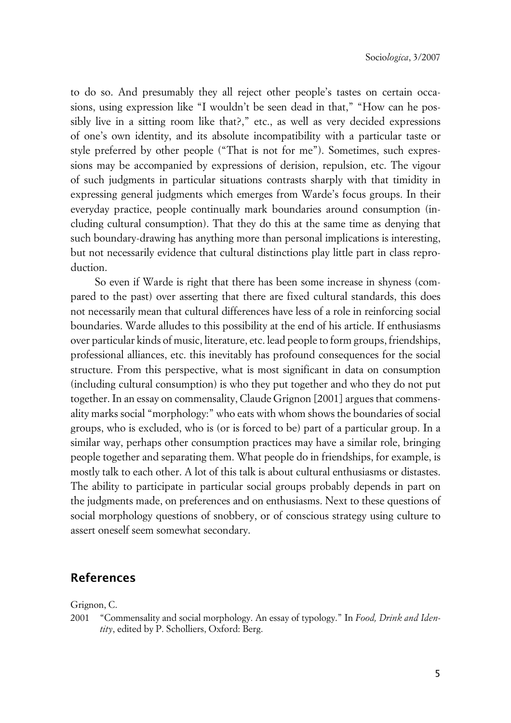to do so. And presumably they all reject other people's tastes on certain occasions, using expression like "I wouldn't be seen dead in that," "How can he possibly live in a sitting room like that?," etc., as well as very decided expressions of one's own identity, and its absolute incompatibility with a particular taste or style preferred by other people ("That is not for me"). Sometimes, such expressions may be accompanied by expressions of derision, repulsion, etc. The vigour of such judgments in particular situations contrasts sharply with that timidity in expressing general judgments which emerges from Warde's focus groups. In their everyday practice, people continually mark boundaries around consumption (including cultural consumption). That they do this at the same time as denying that such boundary-drawing has anything more than personal implications is interesting, but not necessarily evidence that cultural distinctions play little part in class reproduction.

So even if Warde is right that there has been some increase in shyness (compared to the past) over asserting that there are fixed cultural standards, this does not necessarily mean that cultural differences have less of a role in reinforcing social boundaries. Warde alludes to this possibility at the end of his article. If enthusiasms over particular kinds of music, literature, etc. lead people to form groups, friendships, professional alliances, etc. this inevitably has profound consequences for the social structure. From this perspective, what is most significant in data on consumption (including cultural consumption) is who they put together and who they do not put together. In an essay on commensality, Claude Grignon [2001] argues that commensality marks social "morphology:" who eats with whom shows the boundaries of social groups, who is excluded, who is (or is forced to be) part of a particular group. In a similar way, perhaps other consumption practices may have a similar role, bringing people together and separating them. What people do in friendships, for example, is mostly talk to each other. A lot of this talk is about cultural enthusiasms or distastes. The ability to participate in particular social groups probably depends in part on the judgments made, on preferences and on enthusiasms. Next to these questions of social morphology questions of snobbery, or of conscious strategy using culture to assert oneself seem somewhat secondary.

### **References**

Grignon, C.

2001 "Commensality and social morphology. An essay of typology." In *Food, Drink and Identity*, edited by P. Scholliers, Oxford: Berg.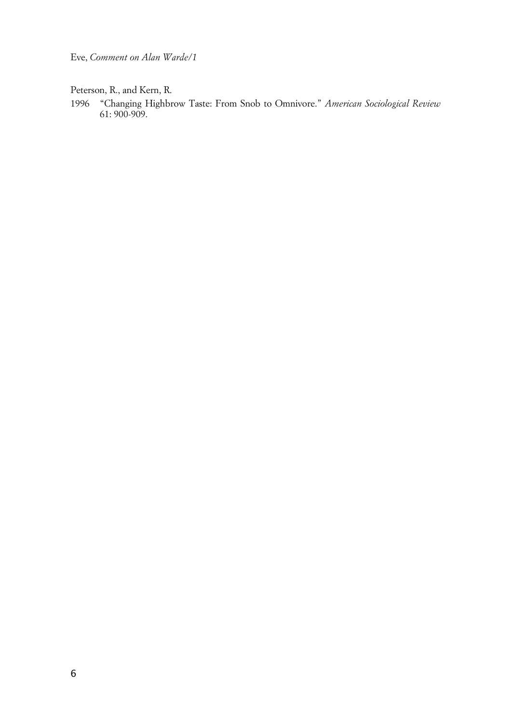Eve, *Comment on Alan Warde/1*

Peterson, R., and Kern, R.

1996 "Changing Highbrow Taste: From Snob to Omnivore." *American Sociological Review* 61: 900-909.